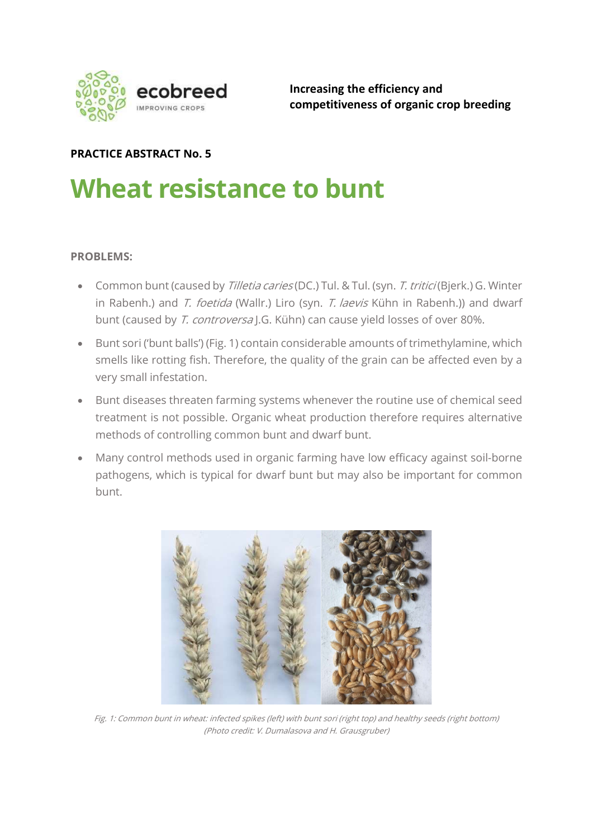

Increasing the efficiency and competitiveness of organic crop breeding

### PRACTICE ABSTRACT No. 5

# Wheat resistance to bunt

#### PROBLEMS:

- Common bunt (caused by Tilletia caries (DC.) Tul. & Tul. (syn. T. tritici (Bjerk.) G. Winter in Rabenh.) and T. foetida (Wallr.) Liro (syn. T. laevis Kühn in Rabenh.)) and dwarf bunt (caused by T. controversa J.G. Kühn) can cause yield losses of over 80%.
- Bunt sori ('bunt balls') (Fig. 1) contain considerable amounts of trimethylamine, which smells like rotting fish. Therefore, the quality of the grain can be affected even by a very small infestation.
- Bunt diseases threaten farming systems whenever the routine use of chemical seed treatment is not possible. Organic wheat production therefore requires alternative methods of controlling common bunt and dwarf bunt.
- Many control methods used in organic farming have low efficacy against soil-borne pathogens, which is typical for dwarf bunt but may also be important for common bunt.



Fig. 1: Common bunt in wheat: infected spikes (left) with bunt sori (right top) and healthy seeds (right bottom) (Photo credit: V. Dumalasova and H. Grausgruber)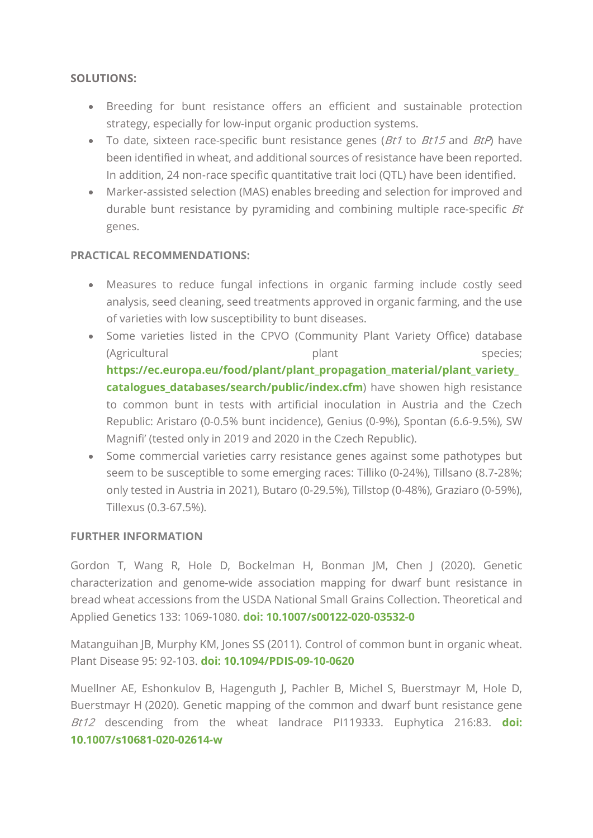#### SOLUTIONS:

- Breeding for bunt resistance offers an efficient and sustainable protection strategy, especially for low-input organic production systems.
- To date, sixteen race-specific bunt resistance genes ( $Bt1$  to  $Bt15$  and  $BtP$ ) have been identified in wheat, and additional sources of resistance have been reported. In addition, 24 non-race specific quantitative trait loci (QTL) have been identified.
- Marker-assisted selection (MAS) enables breeding and selection for improved and durable bunt resistance by pyramiding and combining multiple race-specific  $Bt$ genes.

#### PRACTICAL RECOMMENDATIONS:

- Measures to reduce fungal infections in organic farming include costly seed analysis, seed cleaning, seed treatments approved in organic farming, and the use of varieties with low susceptibility to bunt diseases.
- Some varieties listed in the CPVO (Community Plant Variety Office) database (Agricultural plant plant species: https://ec.europa.eu/food/plant/plant\_propagation\_material/plant\_variety catalogues databases/search/public/index.cfm) have showen high resistance to common bunt in tests with artificial inoculation in Austria and the Czech Republic: Aristaro (0-0.5% bunt incidence), Genius (0-9%), Spontan (6.6-9.5%), SW Magnifi' (tested only in 2019 and 2020 in the Czech Republic).
- Some commercial varieties carry resistance genes against some pathotypes but seem to be susceptible to some emerging races: Tilliko (0-24%), Tillsano (8.7-28%; only tested in Austria in 2021), Butaro (0-29.5%), Tillstop (0-48%), Graziaro (0-59%), Tillexus (0.3-67.5%).

#### FURTHER INFORMATION

Gordon T, Wang R, Hole D, Bockelman H, Bonman JM, Chen J (2020). Genetic characterization and genome-wide association mapping for dwarf bunt resistance in bread wheat accessions from the USDA National Small Grains Collection. Theoretical and Applied Genetics 133: 1069-1080. doi: 10.1007/s00122-020-03532-0

Matanguihan JB, Murphy KM, Jones SS (2011). Control of common bunt in organic wheat. Plant Disease 95: 92-103. doi: 10.1094/PDIS-09-10-0620

Muellner AE, Eshonkulov B, Hagenguth J, Pachler B, Michel S, Buerstmayr M, Hole D, Buerstmayr H (2020). Genetic mapping of the common and dwarf bunt resistance gene Bt12 descending from the wheat landrace PI119333. Euphytica 216:83. doi: 10.1007/s10681-020-02614-w